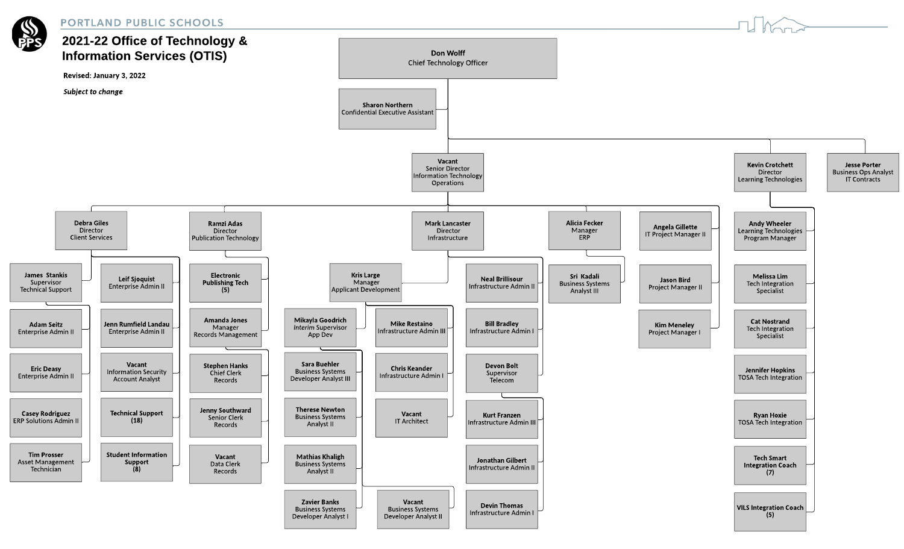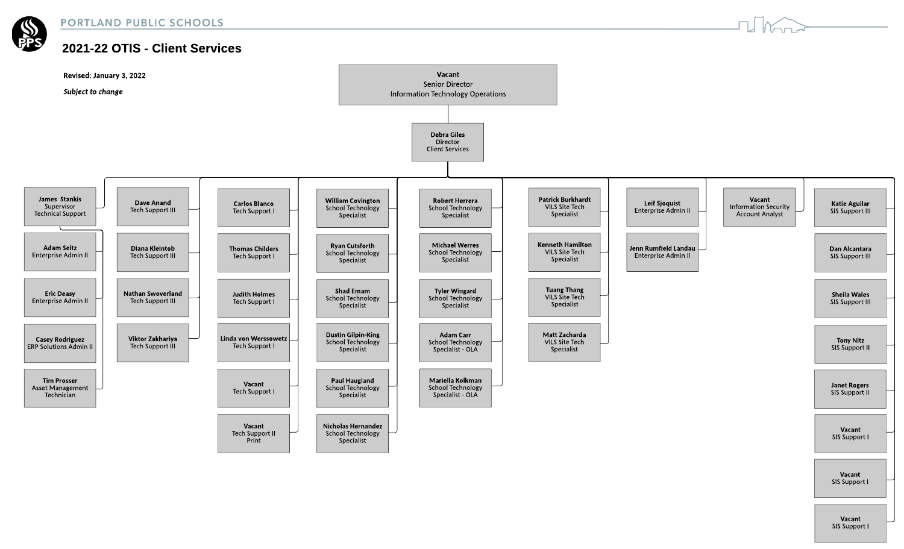

## 2021-22 OTIS - Client Services



SIS Support I